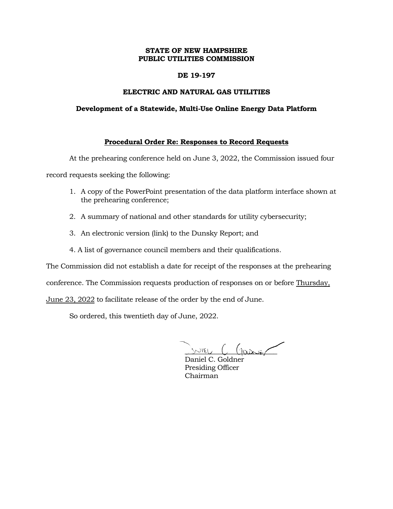# **STATE OF NEW HAMPSHIRE PUBLIC UTILITIES COMMISSION**

# **DE 19-197**

# **ELECTRIC AND NATURAL GAS UTILITIES**

#### **Development of a Statewide, Multi-Use Online Energy Data Platform**

# **Procedural Order Re: Responses to Record Requests**

At the prehearing conference held on June 3, 2022, the Commission issued four

record requests seeking the following:

- 1. A copy of the PowerPoint presentation of the data platform interface shown at the prehearing conference;
- 2. A summary of national and other standards for utility cybersecurity;
- 3. An electronic version (link) to the Dunsky Report; and
- 4. A list of governance council members and their qualifications.

The Commission did not establish a date for receipt of the responses at the prehearing

conference. The Commission requests production of responses on or before Thursday,

June 23, 2022 to facilitate release of the order by the end of June.

So ordered, this twentieth day of June, 2022.

JUIEU C Garier

Daniel C. Goldner Presiding Officer Chairman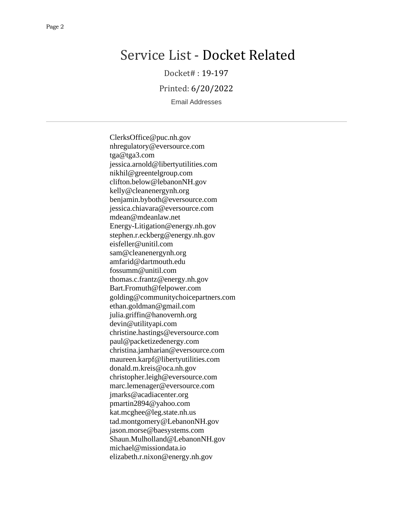# Service List - Docket Related

Docket# : 19-197

Printed: 6/20/2022

Email Addresses

ClerksOffice@puc.nh.gov nhregulatory@eversource.com tga@tga3.com jessica.arnold@libertyutilities.com nikhil@greentelgroup.com clifton.below@lebanonNH.gov kelly@cleanenergynh.org benjamin.byboth@eversource.com jessica.chiavara@eversource.com mdean@mdeanlaw.net Energy-Litigation@energy.nh.gov stephen.r.eckberg@energy.nh.gov eisfeller@unitil.com sam@cleanenergynh.org amfarid@dartmouth.edu fossumm@unitil.com thomas.c.frantz@energy.nh.gov Bart.Fromuth@felpower.com golding@communitychoicepartners.com ethan.goldman@gmail.com julia.griffin@hanovernh.org devin@utilityapi.com christine.hastings@eversource.com paul@packetizedenergy.com christina.jamharian@eversource.com maureen.karpf@libertyutilities.com donald.m.kreis@oca.nh.gov christopher.leigh@eversource.com marc.lemenager@eversource.com jmarks@acadiacenter.org pmartin2894@yahoo.com kat.mcghee@leg.state.nh.us tad.montgomery@LebanonNH.gov jason.morse@baesystems.com Shaun.Mulholland@LebanonNH.gov michael@missiondata.io elizabeth.r.nixon@energy.nh.gov